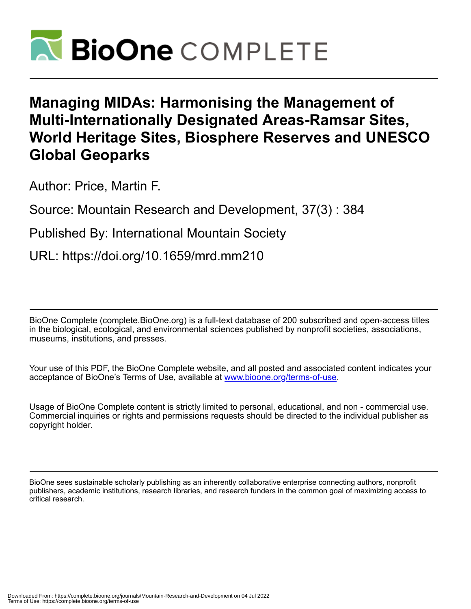

# **Managing MIDAs: Harmonising the Management of Multi-Internationally Designated Areas-Ramsar Sites, World Heritage Sites, Biosphere Reserves and UNESCO Global Geoparks**

Author: Price, Martin F.

Source: Mountain Research and Development, 37(3) : 384

Published By: International Mountain Society

URL: https://doi.org/10.1659/mrd.mm210

BioOne Complete (complete.BioOne.org) is a full-text database of 200 subscribed and open-access titles in the biological, ecological, and environmental sciences published by nonprofit societies, associations, museums, institutions, and presses.

Your use of this PDF, the BioOne Complete website, and all posted and associated content indicates your acceptance of BioOne's Terms of Use, available at www.bioone.org/terms-of-use.

Usage of BioOne Complete content is strictly limited to personal, educational, and non - commercial use. Commercial inquiries or rights and permissions requests should be directed to the individual publisher as copyright holder.

BioOne sees sustainable scholarly publishing as an inherently collaborative enterprise connecting authors, nonprofit publishers, academic institutions, research libraries, and research funders in the common goal of maximizing access to critical research.